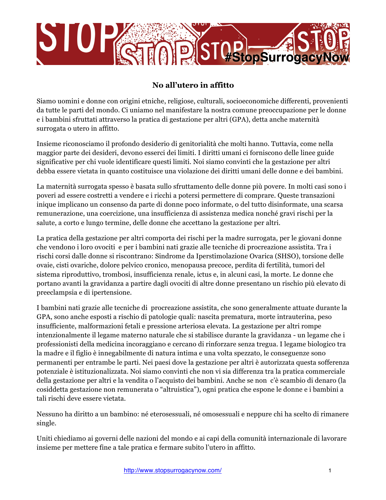

## **No all'utero in affitto**

Siamo uomini e donne con origini etniche, religiose, culturali, socioeconomiche differenti, provenienti da tutte le parti del mondo. Ci uniamo nel manifestare la nostra comune preoccupazione per le donne e i bambini sfruttati attraverso la pratica di gestazione per altri (GPA), detta anche maternità surrogata o utero in affitto.

Insieme riconosciamo il profondo desiderio di genitorialità che molti hanno. Tuttavia, come nella maggior parte dei desideri, devono esserci dei limiti. I diritti umani ci forniscono delle linee guide significative per chi vuole identificare questi limiti. Noi siamo convinti che la gestazione per altri debba essere vietata in quanto costituisce una violazione dei diritti umani delle donne e dei bambini.

La maternità surrogata spesso è basata sullo sfruttamento delle donne più povere. In molti casi sono i poveri ad essere costretti a vendere e i ricchi a potersi permettere di comprare. Queste transazioni inique implicano un consenso da parte di donne poco informate, o del tutto disinformate, una scarsa remunerazione, una coercizione, una insufficienza di assistenza medica nonché gravi rischi per la salute, a corto e lungo termine, delle donne che accettano la gestazione per altri.

La pratica della gestazione per altri comporta dei rischi per la madre surrogata, per le giovani donne che vendono i loro ovociti e per i bambini nati grazie alle tecniche di procreazione assistita. Tra i rischi corsi dalle donne si riscontrano: Sindrome da Iperstimolazione Ovarica (SHSO), torsione delle ovaie, cisti ovariche, dolore pelvico cronico, menopausa precoce, perdita di fertilità, tumori del sistema riproduttivo, trombosi, insufficienza renale, ictus e, in alcuni casi, la morte. Le donne che portano avanti la gravidanza a partire dagli ovociti di altre donne presentano un rischio più elevato di preeclampsia e di ipertensione.

I bambini nati grazie alle tecniche di procreazione assistita, che sono generalmente attuate durante la GPA, sono anche esposti a rischio di patologie quali: nascita prematura, morte intrauterina, peso insufficiente, malformazioni fetali e pressione arteriosa elevata. La gestazione per altri rompe intenzionalmente il legame materno naturale che si stabilisce durante la gravidanza - un legame che i professionisti della medicina incoraggiano e cercano di rinforzare senza tregua. I legame biologico tra la madre e il figlio è innegabilmente di natura intima e una volta spezzato, le conseguenze sono permanenti per entrambe le parti. Nei paesi dove la gestazione per altri è autorizzata questa sofferenza potenziale è istituzionalizzata. Noi siamo convinti che non vi sia differenza tra la pratica commerciale della gestazione per altri e la vendita o l'acquisto dei bambini. Anche se non c'è scambio di denaro (la cosiddetta gestazione non remunerata o "altruistica"), ogni pratica che espone le donne e i bambini a tali rischi deve essere vietata.

Nessuno ha diritto a un bambino: né eterosessuali, né omosessuali e neppure chi ha scelto di rimanere single.

Uniti chiediamo ai governi delle nazioni del mondo e ai capi della comunità internazionale di lavorare insieme per mettere fine a tale pratica e fermare subito l'utero in affitto.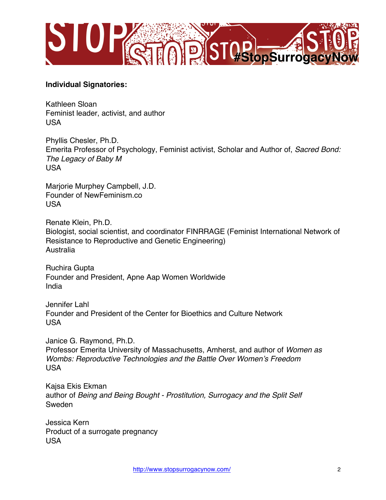

## **Individual Signatories:**

Kathleen Sloan Feminist leader, activist, and author USA

Phyllis Chesler, Ph.D. Emerita Professor of Psychology, Feminist activist, Scholar and Author of, *Sacred Bond: The Legacy of Baby M* USA

Marjorie Murphey Campbell, J.D. Founder of NewFeminism.co USA

Renate Klein, Ph.D. Biologist, social scientist, and coordinator FINRRAGE (Feminist International Network of Resistance to Reproductive and Genetic Engineering) Australia

Ruchira Gupta Founder and President, Apne Aap Women Worldwide India

Jennifer Lahl Founder and President of the Center for Bioethics and Culture Network USA

Janice G. Raymond, Ph.D. Professor Emerita University of Massachusetts, Amherst, and author of *Women as Wombs: Reproductive Technologies and the Battle Over Women's Freedom* USA

Kajsa Ekis Ekman author of *Being and Being Bought - Prostitution, Surrogacy and the Split Self* Sweden

Jessica Kern Product of a surrogate pregnancy USA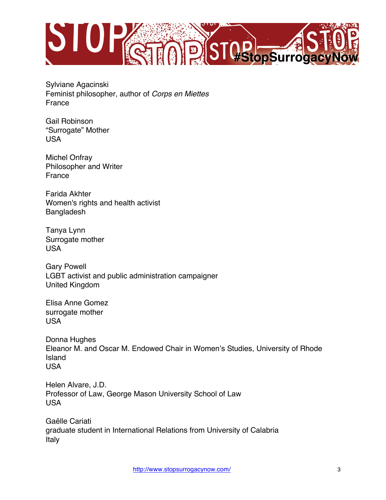

Sylviane Agacinski Feminist philosopher, author of *Corps en Miettes* France

Gail Robinson "Surrogate" Mother USA

Michel Onfray Philosopher and Writer France

Farida Akhter Women's rights and health activist Bangladesh

Tanya Lynn Surrogate mother USA

Gary Powell LGBT activist and public administration campaigner United Kingdom

Elisa Anne Gomez surrogate mother USA

Donna Hughes Eleanor M. and Oscar M. Endowed Chair in Women's Studies, University of Rhode Island USA

Helen Alvare, J.D. Professor of Law, George Mason University School of Law USA

Gaëlle Cariati graduate student in International Relations from University of Calabria Italy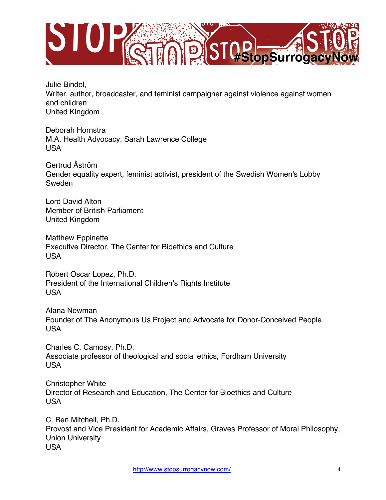

Julie Bindel, Writer, author, broadcaster, and feminist campaigner against violence against women and children United Kingdom

Deborah Hornstra M.A. Health Advocacy, Sarah Lawrence College USA

Gertrud Åström Gender equality expert, feminist activist, president of the Swedish Women's Lobby Sweden

Lord David Alton Member of British Parliament United Kingdom

Matthew Eppinette Executive Director, The Center for Bioethics and Culture USA

Robert Oscar Lopez, Ph.D. President of the International Children's Rights Institute USA

Alana Newman Founder of The Anonymous Us Project and Advocate for Donor-Conceived People USA

Charles C. Camosy, Ph.D. Associate professor of theological and social ethics, Fordham University USA

Christopher White Director of Research and Education, The Center for Bioethics and Culture USA

C. Ben Mitchell, Ph.D. Provost and Vice President for Academic Affairs, Graves Professor of Moral Philosophy, Union University USA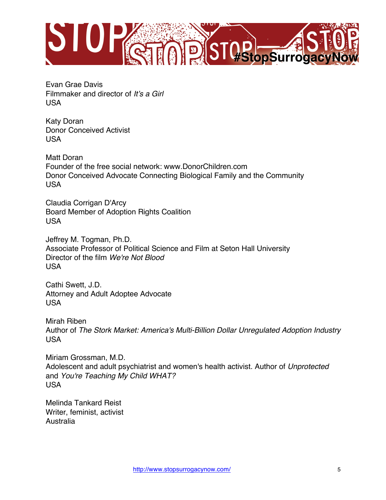

Evan Grae Davis Filmmaker and director of *It's a Girl* USA

Katy Doran Donor Conceived Activist USA

Matt Doran Founder of the free social network: www.DonorChildren.com Donor Conceived Advocate Connecting Biological Family and the Community USA

Claudia Corrigan D'Arcy Board Member of Adoption Rights Coalition USA

Jeffrey M. Togman, Ph.D. Associate Professor of Political Science and Film at Seton Hall University Director of the film *We're Not Blood* USA

Cathi Swett, J.D. Attorney and Adult Adoptee Advocate USA

Mirah Riben Author of *The Stork Market: America's Multi-Billion Dollar Unregulated Adoption Industry* USA

Miriam Grossman, M.D. Adolescent and adult psychiatrist and women's health activist. Author of *Unprotected* and *You're Teaching My Child WHAT?* USA

Melinda Tankard Reist Writer, feminist, activist Australia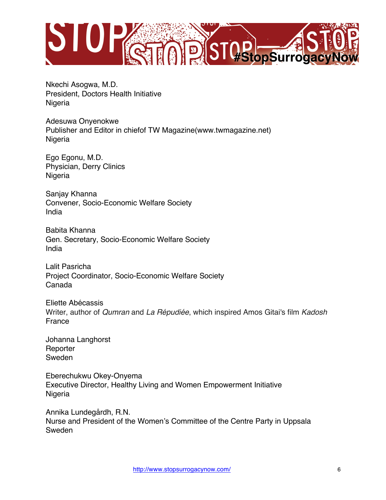

Nkechi Asogwa, M.D. President, Doctors Health Initiative Nigeria

Adesuwa Onyenokwe Publisher and Editor in chiefof TW Magazine(www.twmagazine.net) Nigeria

Ego Egonu, M.D. Physician, Derry Clinics Nigeria

Sanjay Khanna Convener, Socio-Economic Welfare Society India

Babita Khanna Gen. Secretary, Socio-Economic Welfare Society India

Lalit Pasricha Project Coordinator, Socio-Economic Welfare Society Canada

Eliette Abécassis Writer, author of *Qumran* and *La Répudiée*, which inspired Amos Gitai's film *Kadosh* France

Johanna Langhorst **Reporter** Sweden

Eberechukwu Okey-Onyema Executive Director, Healthy Living and Women Empowerment Initiative Nigeria

Annika Lundegårdh, R.N. Nurse and President of the Women's Committee of the Centre Party in Uppsala Sweden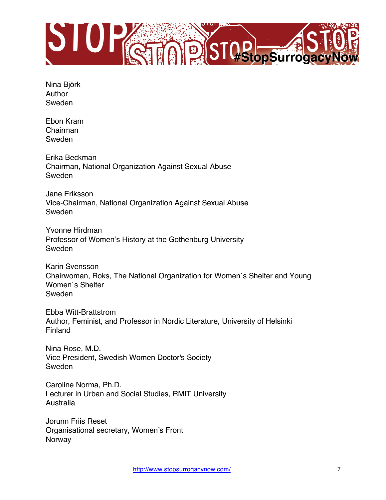

Nina Björk Author Sweden

Ebon Kram Chairman Sweden

Erika Beckman Chairman, National Organization Against Sexual Abuse Sweden

Jane Eriksson Vice-Chairman, National Organization Against Sexual Abuse Sweden

Yvonne Hirdman Professor of Women's History at the Gothenburg University Sweden

Karin Svensson Chairwoman, Roks, The National Organization for Women´s Shelter and Young Women´s Shelter Sweden

Ebba Witt-Brattstrom Author, Feminist, and Professor in Nordic Literature, University of Helsinki Finland

Nina Rose, M.D. Vice President, Swedish Women Doctor's Society Sweden

Caroline Norma, Ph.D. Lecturer in Urban and Social Studies, RMIT University Australia

Jorunn Friis Reset Organisational secretary, Women's Front Norway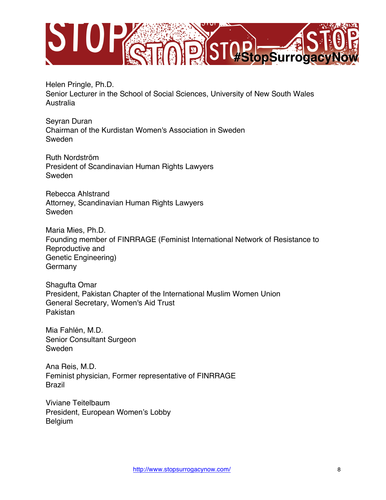

Helen Pringle, Ph.D. Senior Lecturer in the School of Social Sciences, University of New South Wales Australia

Seyran Duran Chairman of the Kurdistan Women's Association in Sweden Sweden

Ruth Nordström President of Scandinavian Human Rights Lawyers Sweden

Rebecca Ahlstrand Attorney, Scandinavian Human Rights Lawyers Sweden

Maria Mies, Ph.D. Founding member of FINRRAGE (Feminist International Network of Resistance to Reproductive and Genetic Engineering) Germany

Shagufta Omar President, Pakistan Chapter of the International Muslim Women Union General Secretary, Women's Aid Trust Pakistan

Mia Fahlén, M.D. Senior Consultant Surgeon Sweden

Ana Reis, M.D. Feminist physician, Former representative of FINRRAGE Brazil

Viviane Teitelbaum President, European Women's Lobby Belgium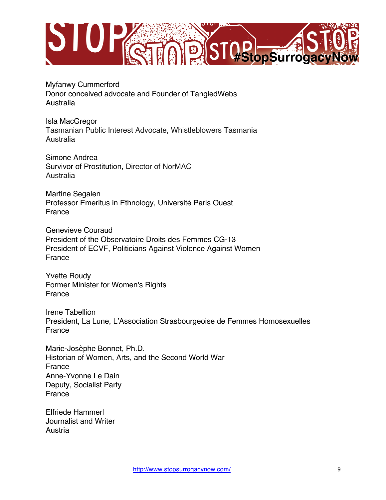

Myfanwy Cummerford Donor conceived advocate and Founder of TangledWebs Australia

Isla MacGregor Tasmanian Public Interest Advocate, Whistleblowers Tasmania Australia

Simone Andrea Survivor of Prostitution, Director of NorMAC Australia

Martine Segalen Professor Emeritus in Ethnology, Université Paris Ouest France

Genevieve Couraud President of the Observatoire Droits des Femmes CG-13 President of ECVF, Politicians Against Violence Against Women France

Yvette Roudy Former Minister for Women's Rights France

Irene Tabellion President, La Lune, L'Association Strasbourgeoise de Femmes Homosexuelles France

Marie-Josèphe Bonnet, Ph.D. Historian of Women, Arts, and the Second World War France Anne-Yvonne Le Dain Deputy, Socialist Party France

Elfriede Hammerl Journalist and Writer Austria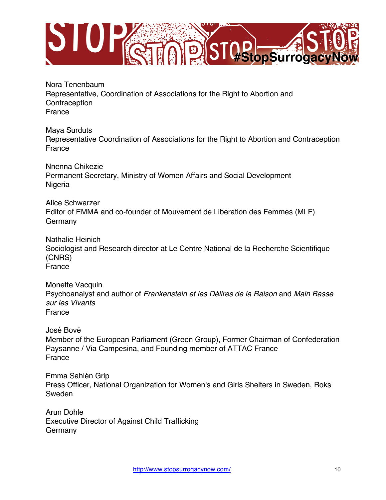

Nora Tenenbaum Representative, Coordination of Associations for the Right to Abortion and **Contraception** France

Maya Surduts Representative Coordination of Associations for the Right to Abortion and Contraception France

Nnenna Chikezie Permanent Secretary, Ministry of Women Affairs and Social Development Nigeria

Alice Schwarzer Editor of EMMA and co-founder of Mouvement de Liberation des Femmes (MLF) Germany

Nathalie Heinich Sociologist and Research director at Le Centre National de la Recherche Scientifique (CNRS) France

Monette Vacquin Psychoanalyst and author of *Frankenstein et les Délires de la Raison* and *Main Basse sur les Vivants* France

José Bové Member of the European Parliament (Green Group), Former Chairman of Confederation Paysanne / Via Campesina, and Founding member of ATTAC France France

Emma Sahlén Grip Press Officer, National Organization for Women's and Girls Shelters in Sweden, Roks Sweden

Arun Dohle Executive Director of Against Child Trafficking Germany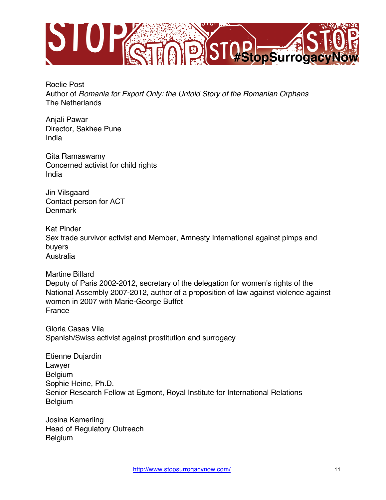

Roelie Post Author of *Romania for Export Only: the Untold Story of the Romanian Orphans* The Netherlands

Anjali Pawar Director, Sakhee Pune India

Gita Ramaswamy Concerned activist for child rights India

Jin Vilsgaard Contact person for ACT **Denmark** 

Kat Pinder Sex trade survivor activist and Member, Amnesty International against pimps and buyers Australia

Martine Billard Deputy of Paris 2002-2012, secretary of the delegation for women's rights of the National Assembly 2007-2012, author of a proposition of law against violence against women in 2007 with Marie-George Buffet France

Gloria Casas Vila Spanish/Swiss activist against prostitution and surrogacy

Etienne Dujardin Lawyer Belgium Sophie Heine, Ph.D. Senior Research Fellow at Egmont, Royal Institute for International Relations Belgium

Josina Kamerling Head of Regulatory Outreach Belgium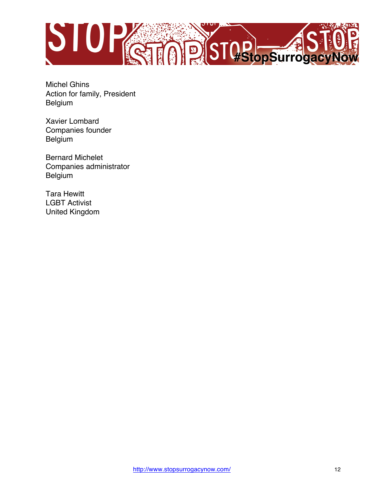

Michel Ghins Action for family, President Belgium

Xavier Lombard Companies founder Belgium

Bernard Michelet Companies administrator Belgium

Tara Hewitt LGBT Activist United Kingdom